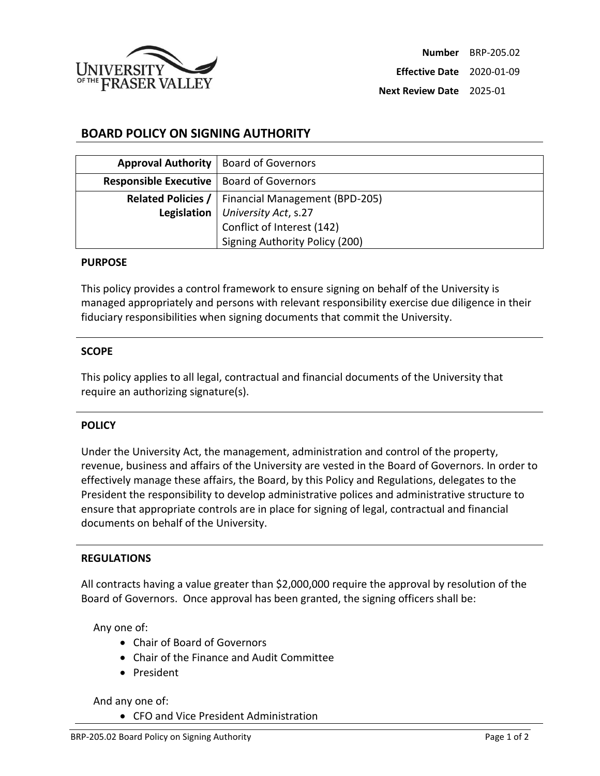

# **BOARD POLICY ON SIGNING AUTHORITY**

|                                                   | Approval Authority   Board of Governors             |
|---------------------------------------------------|-----------------------------------------------------|
| <b>Responsible Executive   Board of Governors</b> |                                                     |
|                                                   | Related Policies /   Financial Management (BPD-205) |
|                                                   | Legislation   University Act, s.27                  |
|                                                   | Conflict of Interest (142)                          |
|                                                   | Signing Authority Policy (200)                      |

### **PURPOSE**

This policy provides a control framework to ensure signing on behalf of the University is managed appropriately and persons with relevant responsibility exercise due diligence in their fiduciary responsibilities when signing documents that commit the University.

### **SCOPE**

This policy applies to all legal, contractual and financial documents of the University that require an authorizing signature(s).

## **POLICY**

Under the University Act, the management, administration and control of the property, revenue, business and affairs of the University are vested in the Board of Governors. In order to effectively manage these affairs, the Board, by this Policy and Regulations, delegates to the President the responsibility to develop administrative polices and administrative structure to ensure that appropriate controls are in place for signing of legal, contractual and financial documents on behalf of the University.

#### **REGULATIONS**

All contracts having a value greater than \$2,000,000 require the approval by resolution of the Board of Governors. Once approval has been granted, the signing officers shall be:

Any one of:

- Chair of Board of Governors
- Chair of the Finance and Audit Committee
- President

And any one of:

• CFO and Vice President Administration